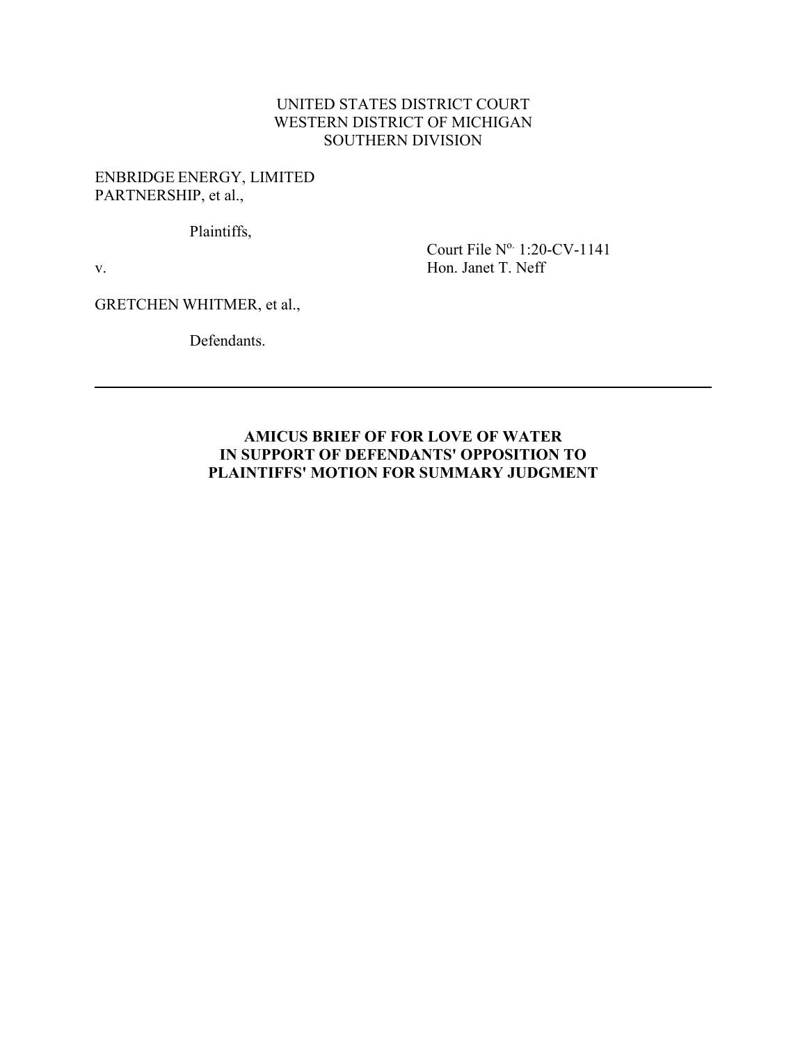## UNITED STATES DISTRICT COURT WESTERN DISTRICT OF MICHIGAN SOUTHERN DIVISION

## ENBRIDGE ENERGY, LIMITED PARTNERSHIP, et al.,

Plaintiffs,

v.

Court File N° 1:20-CV-1141 Hon. Janet T. Neff

GRETCHEN WHITMER, et al.,

Defendants.

## **AMICUS BRIEF OF FOR LOVE OF WATER IN SUPPORT OF DEFENDANTS' OPPOSITION TO PLAINTIFFS' MOTION FOR SUMMARY JUDGMENT**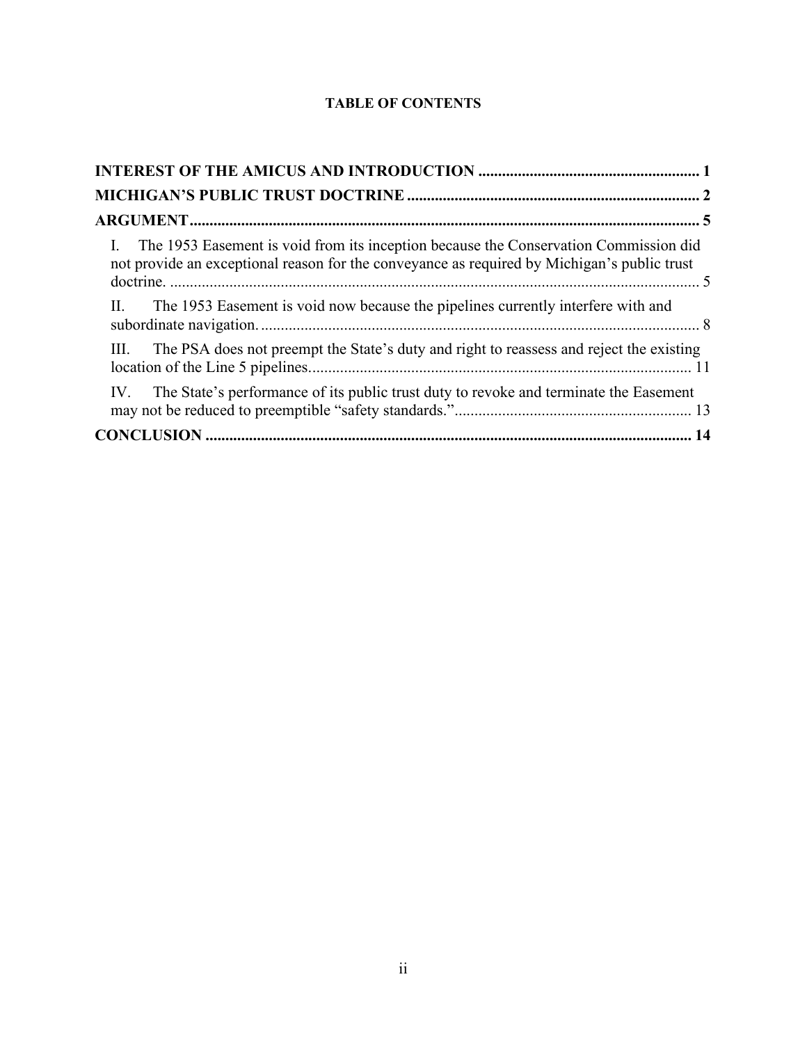## **TABLE OF CONTENTS**

| I. The 1953 Easement is void from its inception because the Conservation Commission did<br>not provide an exceptional reason for the conveyance as required by Michigan's public trust |  |
|----------------------------------------------------------------------------------------------------------------------------------------------------------------------------------------|--|
| II.<br>The 1953 Easement is void now because the pipelines currently interfere with and                                                                                                |  |
| The PSA does not preempt the State's duty and right to reassess and reject the existing<br>III.                                                                                        |  |
| The State's performance of its public trust duty to revoke and terminate the Easement<br>IV.                                                                                           |  |
|                                                                                                                                                                                        |  |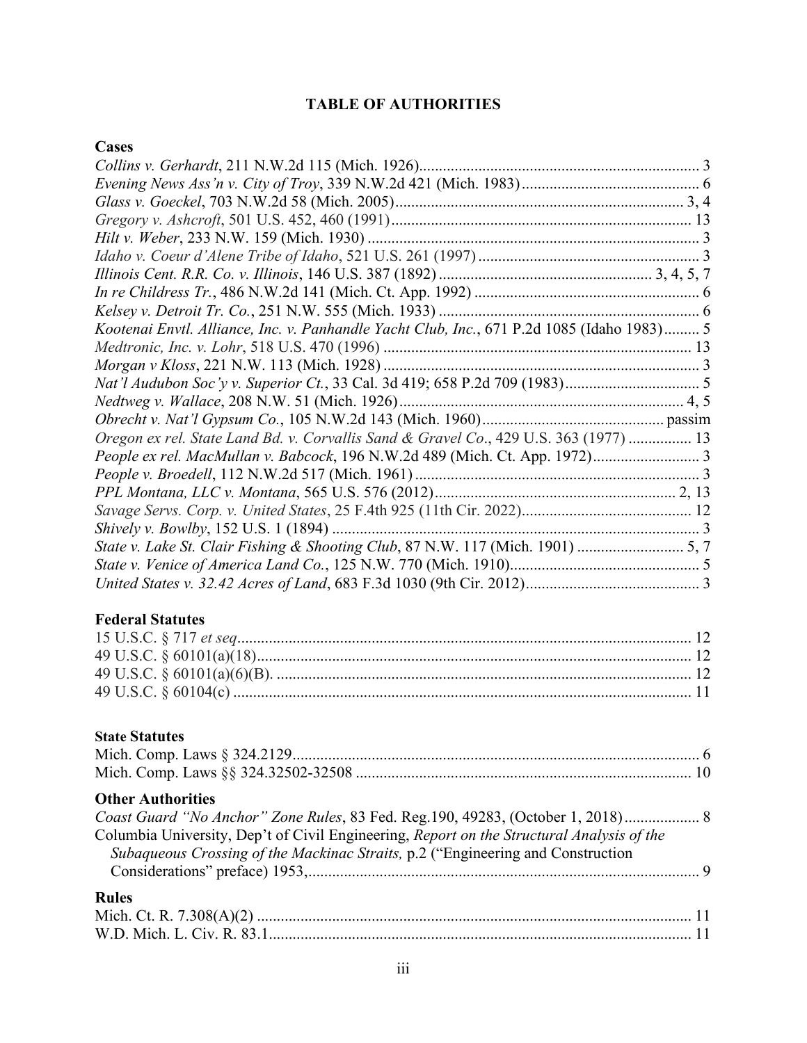# **TABLE OF AUTHORITIES**

## **Cases**

| Kootenai Envtl. Alliance, Inc. v. Panhandle Yacht Club, Inc., 671 P.2d 1085 (Idaho 1983) 5 |  |
|--------------------------------------------------------------------------------------------|--|
|                                                                                            |  |
|                                                                                            |  |
|                                                                                            |  |
|                                                                                            |  |
|                                                                                            |  |
| Oregon ex rel. State Land Bd. v. Corvallis Sand & Gravel Co., 429 U.S. 363 (1977)  13      |  |
| People ex rel. MacMullan v. Babcock, 196 N.W.2d 489 (Mich. Ct. App. 1972) 3                |  |
|                                                                                            |  |
|                                                                                            |  |
|                                                                                            |  |
|                                                                                            |  |
| State v. Lake St. Clair Fishing & Shooting Club, 87 N.W. 117 (Mich. 1901)  5, 7            |  |
|                                                                                            |  |
|                                                                                            |  |
|                                                                                            |  |
| <b>Federal Statutes</b>                                                                    |  |
|                                                                                            |  |
|                                                                                            |  |
|                                                                                            |  |
|                                                                                            |  |
|                                                                                            |  |
|                                                                                            |  |
| <b>State Statutes</b>                                                                      |  |
|                                                                                            |  |
|                                                                                            |  |
| <b>Other Authorities</b>                                                                   |  |
| Coast Guard "No Anchor" Zone Rules, 83 Fed. Reg.190, 49283, (October 1, 2018) 8            |  |
| Columbia University, Dep't of Civil Engineering, Report on the Structural Analysis of the  |  |
|                                                                                            |  |
| Subaqueous Crossing of the Mackinac Straits, p.2 ("Engineering and Construction            |  |
|                                                                                            |  |
| <b>Rules</b>                                                                               |  |
|                                                                                            |  |

W.D. Mich. L. Civ. R. 83.1........................................................................................................... 11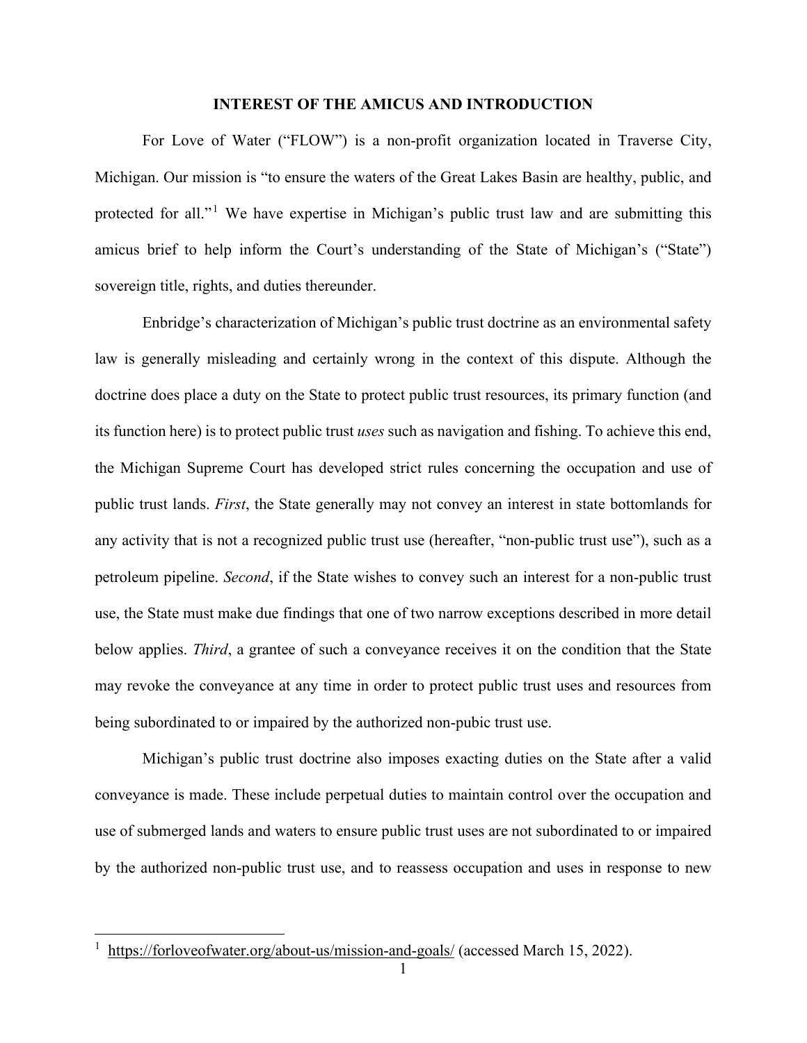#### **INTEREST OF THE AMICUS AND INTRODUCTION**

<span id="page-3-0"></span>For Love of Water ("FLOW") is a non-profit organization located in Traverse City, Michigan. Our mission is "to ensure the waters of the Great Lakes Basin are healthy, public, and protected for all."<sup>[1](#page-3-1)</sup> We have expertise in Michigan's public trust law and are submitting this amicus brief to help inform the Court's understanding of the State of Michigan's ("State") sovereign title, rights, and duties thereunder.

Enbridge's characterization of Michigan's public trust doctrine as an environmental safety law is generally misleading and certainly wrong in the context of this dispute. Although the doctrine does place a duty on the State to protect public trust resources, its primary function (and its function here) is to protect public trust *uses* such as navigation and fishing. To achieve this end, the Michigan Supreme Court has developed strict rules concerning the occupation and use of public trust lands. *First*, the State generally may not convey an interest in state bottomlands for any activity that is not a recognized public trust use (hereafter, "non-public trust use"), such as a petroleum pipeline. *Second*, if the State wishes to convey such an interest for a non-public trust use, the State must make due findings that one of two narrow exceptions described in more detail below applies. *Third*, a grantee of such a conveyance receives it on the condition that the State may revoke the conveyance at any time in order to protect public trust uses and resources from being subordinated to or impaired by the authorized non-pubic trust use.

Michigan's public trust doctrine also imposes exacting duties on the State after a valid conveyance is made. These include perpetual duties to maintain control over the occupation and use of submerged lands and waters to ensure public trust uses are not subordinated to or impaired by the authorized non-public trust use, and to reassess occupation and uses in response to new

<span id="page-3-1"></span><sup>&</sup>lt;sup>1</sup> <https://forloveofwater.org/about-us/mission-and-goals/> (accessed March 15, 2022).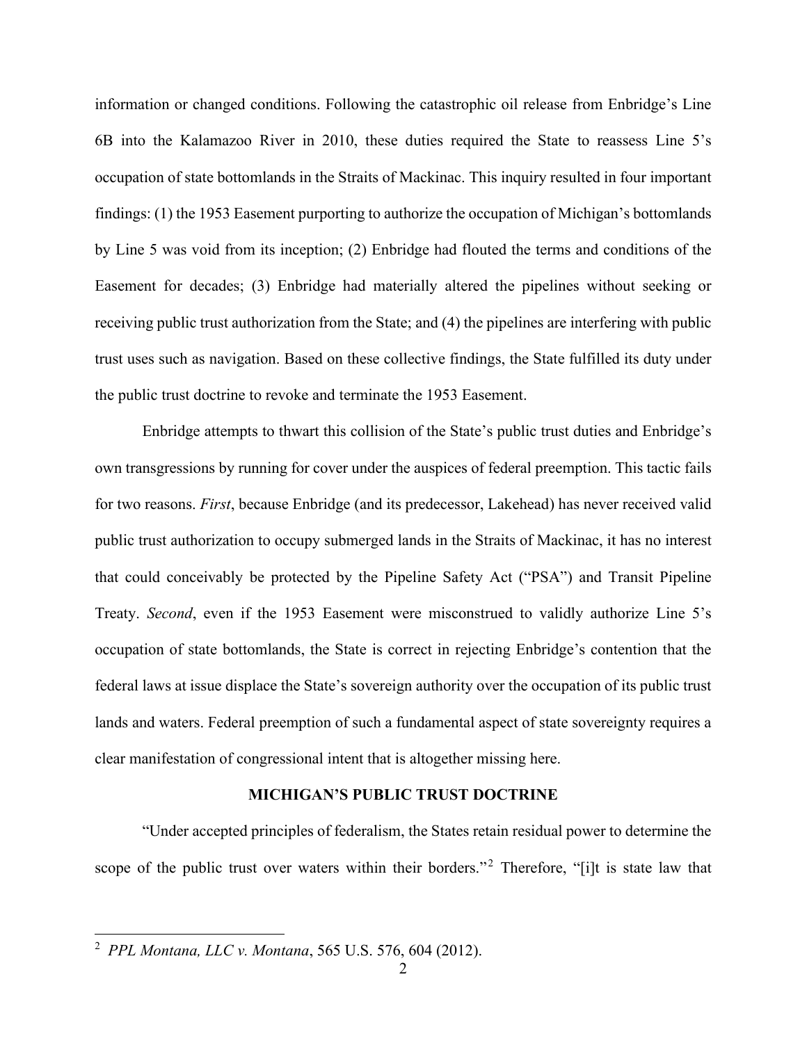information or changed conditions. Following the catastrophic oil release from Enbridge's Line 6B into the Kalamazoo River in 2010, these duties required the State to reassess Line 5's occupation of state bottomlands in the Straits of Mackinac. This inquiry resulted in four important findings: (1) the 1953 Easement purporting to authorize the occupation of Michigan's bottomlands by Line 5 was void from its inception; (2) Enbridge had flouted the terms and conditions of the Easement for decades; (3) Enbridge had materially altered the pipelines without seeking or receiving public trust authorization from the State; and (4) the pipelines are interfering with public trust uses such as navigation. Based on these collective findings, the State fulfilled its duty under the public trust doctrine to revoke and terminate the 1953 Easement.

Enbridge attempts to thwart this collision of the State's public trust duties and Enbridge's own transgressions by running for cover under the auspices of federal preemption. This tactic fails for two reasons. *First*, because Enbridge (and its predecessor, Lakehead) has never received valid public trust authorization to occupy submerged lands in the Straits of Mackinac, it has no interest that could conceivably be protected by the Pipeline Safety Act ("PSA") and Transit Pipeline Treaty. *Second*, even if the 1953 Easement were misconstrued to validly authorize Line 5's occupation of state bottomlands, the State is correct in rejecting Enbridge's contention that the federal laws at issue displace the State's sovereign authority over the occupation of its public trust lands and waters. Federal preemption of such a fundamental aspect of state sovereignty requires a clear manifestation of congressional intent that is altogether missing here.

#### **MICHIGAN'S PUBLIC TRUST DOCTRINE**

<span id="page-4-0"></span>"Under accepted principles of federalism, the States retain residual power to determine the scope of the public trust over waters within their borders."<sup>[2](#page-4-1)</sup> Therefore, "[i]t is state law that

<span id="page-4-1"></span><sup>2</sup> *PPL Montana, LLC v. Montana*, 565 U.S. 576, 604 (2012).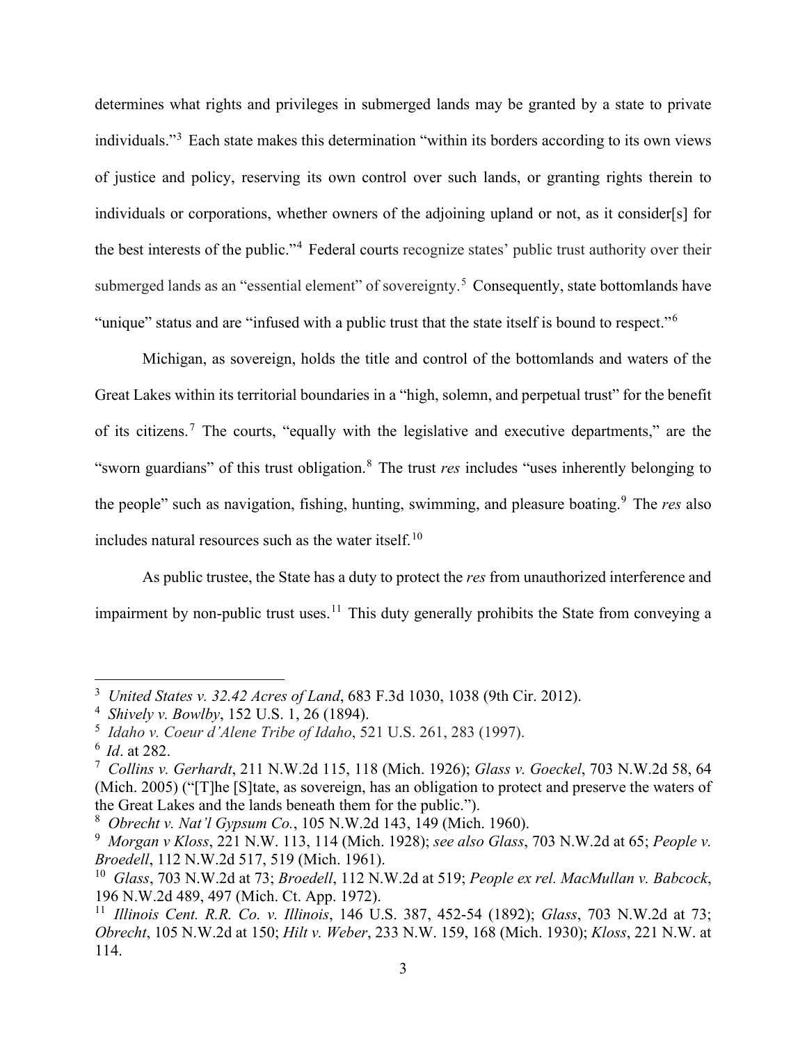determines what rights and privileges in submerged lands may be granted by a state to private individuals."[3](#page-5-0) Each state makes this determination "within its borders according to its own views of justice and policy, reserving its own control over such lands, or granting rights therein to individuals or corporations, whether owners of the adjoining upland or not, as it consider[s] for the best interests of the public."[4](#page-5-1) Federal courts recognize states' public trust authority over their submerged lands as an "essential element" of sovereignty.<sup>[5](#page-5-2)</sup> Consequently, state bottomlands have "unique" status and are "infused with a public trust that the state itself is bound to respect."[6](#page-5-3)

Michigan, as sovereign, holds the title and control of the bottomlands and waters of the Great Lakes within its territorial boundaries in a "high, solemn, and perpetual trust" for the benefit of its citizens.[7](#page-5-4) The courts, "equally with the legislative and executive departments," are the "sworn guardians" of this trust obligation.[8](#page-5-5) The trust *res* includes "uses inherently belonging to the people" such as navigation, fishing, hunting, swimming, and pleasure boating.<sup>[9](#page-5-6)</sup> The *res* also includes natural resources such as the water itself.<sup>[10](#page-5-7)</sup>

As public trustee, the State has a duty to protect the *res* from unauthorized interference and impairment by non-public trust uses.<sup>[11](#page-5-8)</sup> This duty generally prohibits the State from conveying a

<span id="page-5-0"></span><sup>3</sup> *United States v. 32.42 Acres of Land*, 683 F.3d 1030, 1038 (9th Cir. 2012).

<span id="page-5-1"></span><sup>4</sup> *Shively v. Bowlby*, 152 U.S. 1, 26 (1894).

<span id="page-5-2"></span><sup>5</sup> *Idaho v. Coeur d'Alene Tribe of Idaho*, 521 U.S. 261, 283 (1997).

<span id="page-5-4"></span><span id="page-5-3"></span><sup>6</sup> *Id*. at 282. 7 *Collins v. Gerhardt*, 211 N.W.2d 115, 118 (Mich. 1926); *Glass v. Goeckel*, 703 N.W.2d 58, 64 (Mich. 2005) ("[T]he [S]tate, as sovereign, has an obligation to protect and preserve the waters of the Great Lakes and the lands beneath them for the public.").

<span id="page-5-5"></span><sup>8</sup> *Obrecht v. Nat'l Gypsum Co.*, 105 N.W.2d 143, 149 (Mich. 1960).

<span id="page-5-6"></span><sup>9</sup> *Morgan v Kloss*, 221 N.W. 113, 114 (Mich. 1928); *see also Glass*, 703 N.W.2d at 65; *People v. Broedell*, 112 N.W.2d 517, 519 (Mich. 1961).

<span id="page-5-7"></span><sup>10</sup> *Glass*, 703 N.W.2d at 73; *Broedell*, 112 N.W.2d at 519; *People ex rel. MacMullan v. Babcock*, 196 N.W.2d 489, 497 (Mich. Ct. App. 1972).

<span id="page-5-8"></span><sup>11</sup> *Illinois Cent. R.R. Co. v. Illinois*, 146 U.S. 387, 452-54 (1892); *Glass*, 703 N.W.2d at 73; *Obrecht*, 105 N.W.2d at 150; *Hilt v. Weber*, 233 N.W. 159, 168 (Mich. 1930); *Kloss*, 221 N.W. at 114.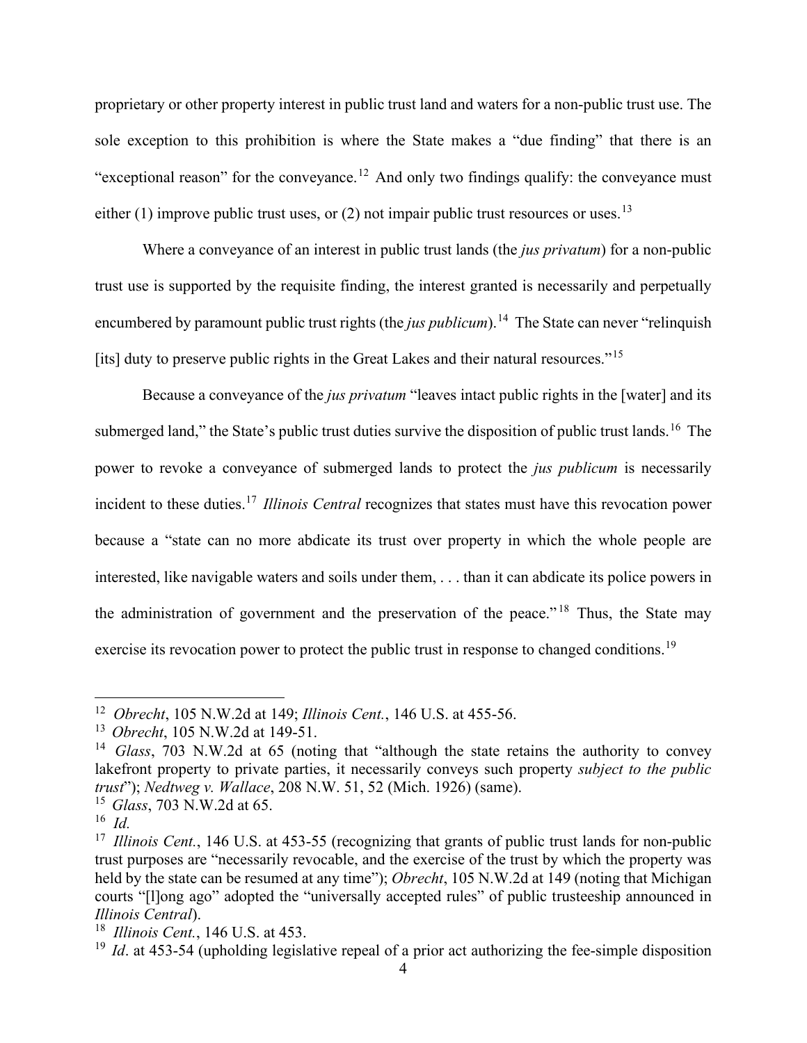proprietary or other property interest in public trust land and waters for a non-public trust use. The sole exception to this prohibition is where the State makes a "due finding" that there is an "exceptional reason" for the conveyance.<sup>[12](#page-6-0)</sup> And only two findings qualify: the conveyance must either (1) improve public trust uses, or (2) not impair public trust resources or uses.<sup>[13](#page-6-1)</sup>

Where a conveyance of an interest in public trust lands (the *jus privatum*) for a non-public trust use is supported by the requisite finding, the interest granted is necessarily and perpetually encumbered by paramount public trust rights (the *jus publicum*).<sup>[14](#page-6-2)</sup> The State can never "relinquish" [its] duty to preserve public rights in the Great Lakes and their natural resources."<sup>[15](#page-6-3)</sup>

Because a conveyance of the *jus privatum* "leaves intact public rights in the [water] and its submerged land," the State's public trust duties survive the disposition of public trust lands.<sup>[16](#page-6-4)</sup> The power to revoke a conveyance of submerged lands to protect the *jus publicum* is necessarily incident to these duties. [17](#page-6-5) *Illinois Central* recognizes that states must have this revocation power because a "state can no more abdicate its trust over property in which the whole people are interested, like navigable waters and soils under them, . . . than it can abdicate its police powers in the administration of government and the preservation of the peace." [18](#page-6-6) Thus, the State may exercise its revocation power to protect the public trust in response to changed conditions.<sup>[19](#page-6-7)</sup>

<span id="page-6-0"></span><sup>12</sup> *Obrecht*, 105 N.W.2d at 149; *Illinois Cent.*, 146 U.S. at 455-56.

<span id="page-6-1"></span>

<span id="page-6-2"></span><sup>&</sup>lt;sup>14</sup> *Glass*, 703 N.W.2d at 65 (noting that "although the state retains the authority to convey lakefront property to private parties, it necessarily conveys such property *subject to the public trust*"); *Nedtweg v. Wallace*, 208 N.W. 51, 52 (Mich. 1926) (same).

<span id="page-6-3"></span><sup>15</sup> *Glass*, 703 N.W.2d at 65.

<span id="page-6-4"></span><sup>16</sup> *Id.*

<span id="page-6-5"></span><sup>&</sup>lt;sup>17</sup> Illinois Cent., 146 U.S. at 453-55 (recognizing that grants of public trust lands for non-public trust purposes are "necessarily revocable, and the exercise of the trust by which the property was held by the state can be resumed at any time"); *Obrecht*, 105 N.W.2d at 149 (noting that Michigan courts "[l]ong ago" adopted the "universally accepted rules" of public trusteeship announced in *Illinois Central*).

<span id="page-6-6"></span><sup>18</sup> *Illinois Cent.*, 146 U.S. at 453.

<span id="page-6-7"></span><sup>&</sup>lt;sup>19</sup> *Id.* at 453-54 (upholding legislative repeal of a prior act authorizing the fee-simple disposition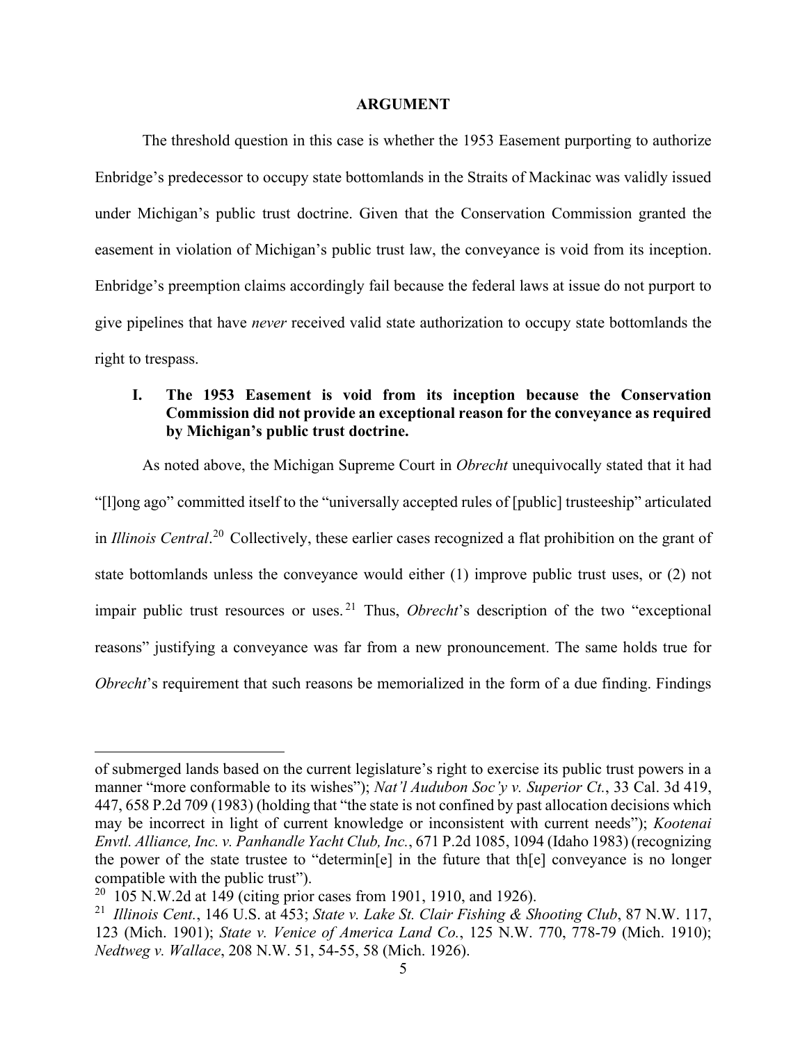#### **ARGUMENT**

<span id="page-7-0"></span>The threshold question in this case is whether the 1953 Easement purporting to authorize Enbridge's predecessor to occupy state bottomlands in the Straits of Mackinac was validly issued under Michigan's public trust doctrine. Given that the Conservation Commission granted the easement in violation of Michigan's public trust law, the conveyance is void from its inception. Enbridge's preemption claims accordingly fail because the federal laws at issue do not purport to give pipelines that have *never* received valid state authorization to occupy state bottomlands the right to trespass.

## <span id="page-7-1"></span>**I. The 1953 Easement is void from its inception because the Conservation Commission did not provide an exceptional reason for the conveyance as required by Michigan's public trust doctrine.**

As noted above, the Michigan Supreme Court in *Obrecht* unequivocally stated that it had "[l]ong ago" committed itself to the "universally accepted rules of [public] trusteeship" articulated in *Illinois Central*. [20](#page-7-2) Collectively, these earlier cases recognized a flat prohibition on the grant of state bottomlands unless the conveyance would either (1) improve public trust uses, or (2) not impair public trust resources or uses. [21](#page-7-3) Thus, *Obrecht*'s description of the two "exceptional reasons" justifying a conveyance was far from a new pronouncement. The same holds true for *Obrecht*'s requirement that such reasons be memorialized in the form of a due finding. Findings

of submerged lands based on the current legislature's right to exercise its public trust powers in a manner "more conformable to its wishes"); *Nat'l Audubon Soc'y v. Superior Ct.*, 33 Cal. 3d 419, 447, 658 P.2d 709 (1983) (holding that "the state is not confined by past allocation decisions which may be incorrect in light of current knowledge or inconsistent with current needs"); *Kootenai Envtl. Alliance, Inc. v. Panhandle Yacht Club, Inc.*, 671 P.2d 1085, 1094 (Idaho 1983) (recognizing the power of the state trustee to "determin[e] in the future that th[e] conveyance is no longer compatible with the public trust").

<span id="page-7-2"></span><sup>&</sup>lt;sup>20</sup> 105 N.W.2d at 149 (citing prior cases from 1901, 1910, and 1926).

<span id="page-7-3"></span><sup>21</sup> *Illinois Cent.*, 146 U.S. at 453; *State v. Lake St. Clair Fishing & Shooting Club*, 87 N.W. 117, 123 (Mich. 1901); *State v. Venice of America Land Co.*, 125 N.W. 770, 778-79 (Mich. 1910); *Nedtweg v. Wallace*, 208 N.W. 51, 54-55, 58 (Mich. 1926).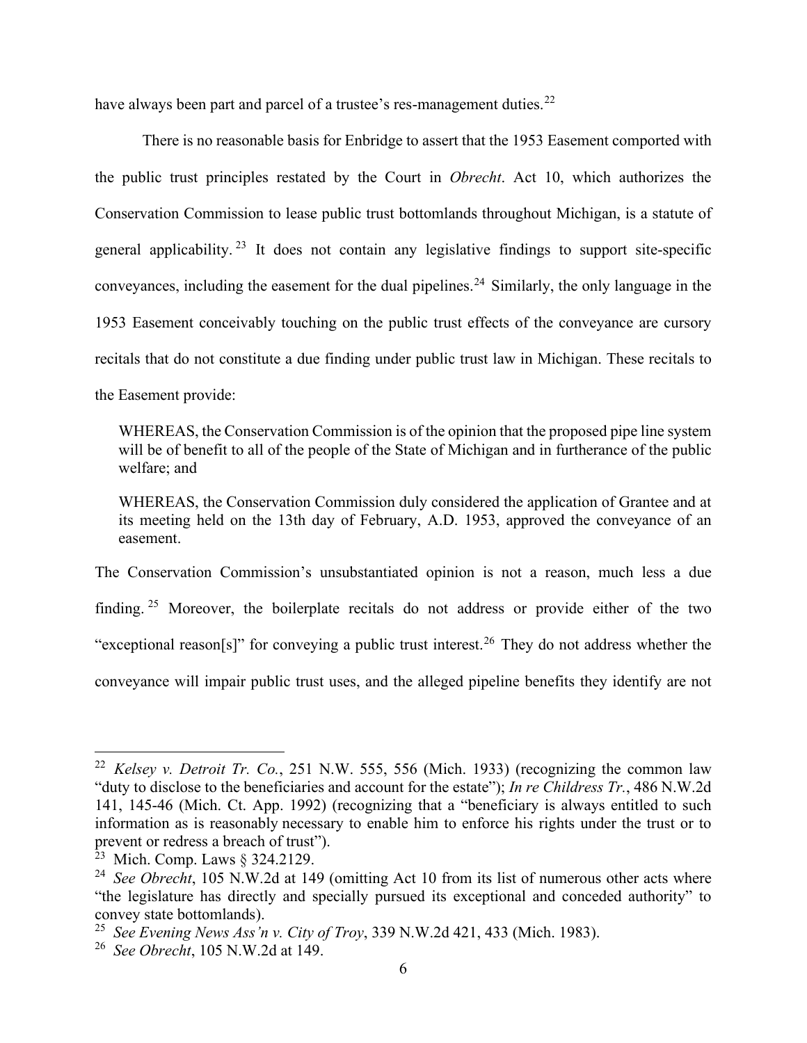have always been part and parcel of a trustee's res-management duties.<sup>[22](#page-8-0)</sup>

There is no reasonable basis for Enbridge to assert that the 1953 Easement comported with the public trust principles restated by the Court in *Obrecht*. Act 10, which authorizes the Conservation Commission to lease public trust bottomlands throughout Michigan, is a statute of general applicability.<sup>[23](#page-8-1)</sup> It does not contain any legislative findings to support site-specific conveyances, including the easement for the dual pipelines.<sup>[24](#page-8-2)</sup> Similarly, the only language in the 1953 Easement conceivably touching on the public trust effects of the conveyance are cursory recitals that do not constitute a due finding under public trust law in Michigan. These recitals to the Easement provide:

WHEREAS, the Conservation Commission is of the opinion that the proposed pipe line system will be of benefit to all of the people of the State of Michigan and in furtherance of the public welfare; and

WHEREAS, the Conservation Commission duly considered the application of Grantee and at its meeting held on the 13th day of February, A.D. 1953, approved the conveyance of an easement.

The Conservation Commission's unsubstantiated opinion is not a reason, much less a due finding. [25](#page-8-3) Moreover, the boilerplate recitals do not address or provide either of the two "exceptional reason[s]" for conveying a public trust interest.<sup>[26](#page-8-4)</sup> They do not address whether the conveyance will impair public trust uses, and the alleged pipeline benefits they identify are not

<span id="page-8-0"></span><sup>22</sup> *Kelsey v. Detroit Tr. Co.*, 251 N.W. 555, 556 (Mich. 1933) (recognizing the common law "duty to disclose to the beneficiaries and account for the estate"); *In re Childress Tr.*, 486 N.W.2d 141, 145-46 (Mich. Ct. App. 1992) (recognizing that a "beneficiary is always entitled to such information as is reasonably necessary to enable him to enforce his rights under the trust or to prevent or redress a breach of trust").

<sup>&</sup>lt;sup>23</sup> Mich. Comp. Laws § 324.2129.

<span id="page-8-2"></span><span id="page-8-1"></span><sup>&</sup>lt;sup>24</sup> See Obrecht, 105 N.W.2d at 149 (omitting Act 10 from its list of numerous other acts where "the legislature has directly and specially pursued its exceptional and conceded authority" to convey state bottomlands).

<span id="page-8-3"></span><sup>25</sup> *See Evening News Ass'n v. City of Troy*, 339 N.W.2d 421, 433 (Mich. 1983).

<span id="page-8-4"></span><sup>26</sup> *See Obrecht*, 105 N.W.2d at 149.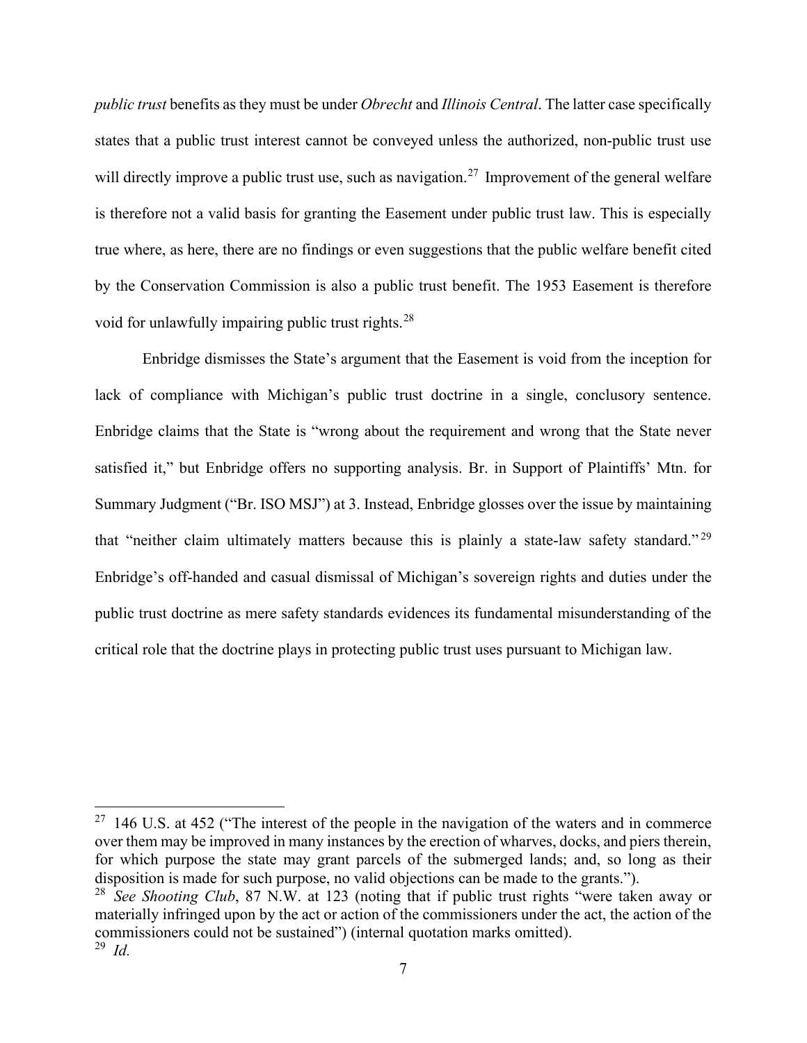*public trust* benefits as they must be under *Obrecht* and *Illinois Central*. The latter case specifically states that a public trust interest cannot be conveyed unless the authorized, non-public trust use will directly improve a public trust use, such as navigation.<sup>[27](#page-9-0)</sup> Improvement of the general welfare is therefore not a valid basis for granting the Easement under public trust law. This is especially true where, as here, there are no findings or even suggestions that the public welfare benefit cited by the Conservation Commission is also a public trust benefit. The 1953 Easement is therefore void for unlawfully impairing public trust rights.<sup>[28](#page-9-1)</sup>

Enbridge dismisses the State's argument that the Easement is void from the inception for lack of compliance with Michigan's public trust doctrine in a single, conclusory sentence. Enbridge claims that the State is "wrong about the requirement and wrong that the State never satisfied it," but Enbridge offers no supporting analysis. Br. in Support of Plaintiffs' Mtn. for Summary Judgment ("Br. ISO MSJ") at 3. Instead, Enbridge glosses over the issue by maintaining that "neither claim ultimately matters because this is plainly a state-law safety standard." [29](#page-9-2) Enbridge's off-handed and casual dismissal of Michigan's sovereign rights and duties under the public trust doctrine as mere safety standards evidences its fundamental misunderstanding of the critical role that the doctrine plays in protecting public trust uses pursuant to Michigan law.

<span id="page-9-0"></span> $27$  146 U.S. at 452 ("The interest of the people in the navigation of the waters and in commerce over them may be improved in many instances by the erection of wharves, docks, and piers therein, for which purpose the state may grant parcels of the submerged lands; and, so long as their disposition is made for such purpose, no valid objections can be made to the grants.").

<span id="page-9-2"></span><span id="page-9-1"></span><sup>28</sup> *See Shooting Club*, 87 N.W. at 123 (noting that if public trust rights "were taken away or materially infringed upon by the act or action of the commissioners under the act, the action of the commissioners could not be sustained") (internal quotation marks omitted). <sup>29</sup> *Id.*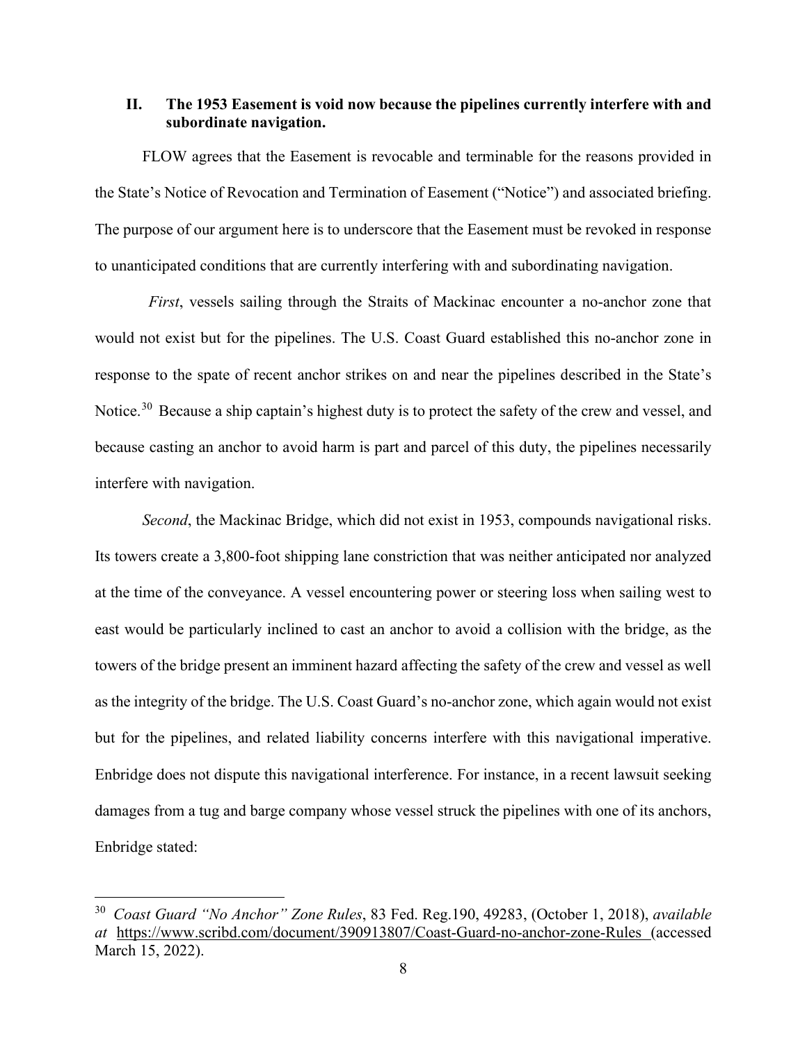### <span id="page-10-0"></span>**II. The 1953 Easement is void now because the pipelines currently interfere with and subordinate navigation.**

FLOW agrees that the Easement is revocable and terminable for the reasons provided in the State's Notice of Revocation and Termination of Easement ("Notice") and associated briefing. The purpose of our argument here is to underscore that the Easement must be revoked in response to unanticipated conditions that are currently interfering with and subordinating navigation.

*First*, vessels sailing through the Straits of Mackinac encounter a no-anchor zone that would not exist but for the pipelines. The U.S. Coast Guard established this no-anchor zone in response to the spate of recent anchor strikes on and near the pipelines described in the State's Notice.<sup>[30](#page-10-1)</sup> Because a ship captain's highest duty is to protect the safety of the crew and vessel, and because casting an anchor to avoid harm is part and parcel of this duty, the pipelines necessarily interfere with navigation.

*Second*, the Mackinac Bridge, which did not exist in 1953, compounds navigational risks. Its towers create a 3,800-foot shipping lane constriction that was neither anticipated nor analyzed at the time of the conveyance. A vessel encountering power or steering loss when sailing west to east would be particularly inclined to cast an anchor to avoid a collision with the bridge, as the towers of the bridge present an imminent hazard affecting the safety of the crew and vessel as well as the integrity of the bridge. The U.S. Coast Guard's no-anchor zone, which again would not exist but for the pipelines, and related liability concerns interfere with this navigational imperative. Enbridge does not dispute this navigational interference. For instance, in a recent lawsuit seeking damages from a tug and barge company whose vessel struck the pipelines with one of its anchors, Enbridge stated:

<span id="page-10-1"></span><sup>30</sup> *Coast Guard "No Anchor" Zone Rules*, 83 Fed. Reg.190, 49283, (October 1, 2018), *available at* <https://www.scribd.com/document/390913807/Coast-Guard-no-anchor-zone-Rules> (accessed March 15, 2022).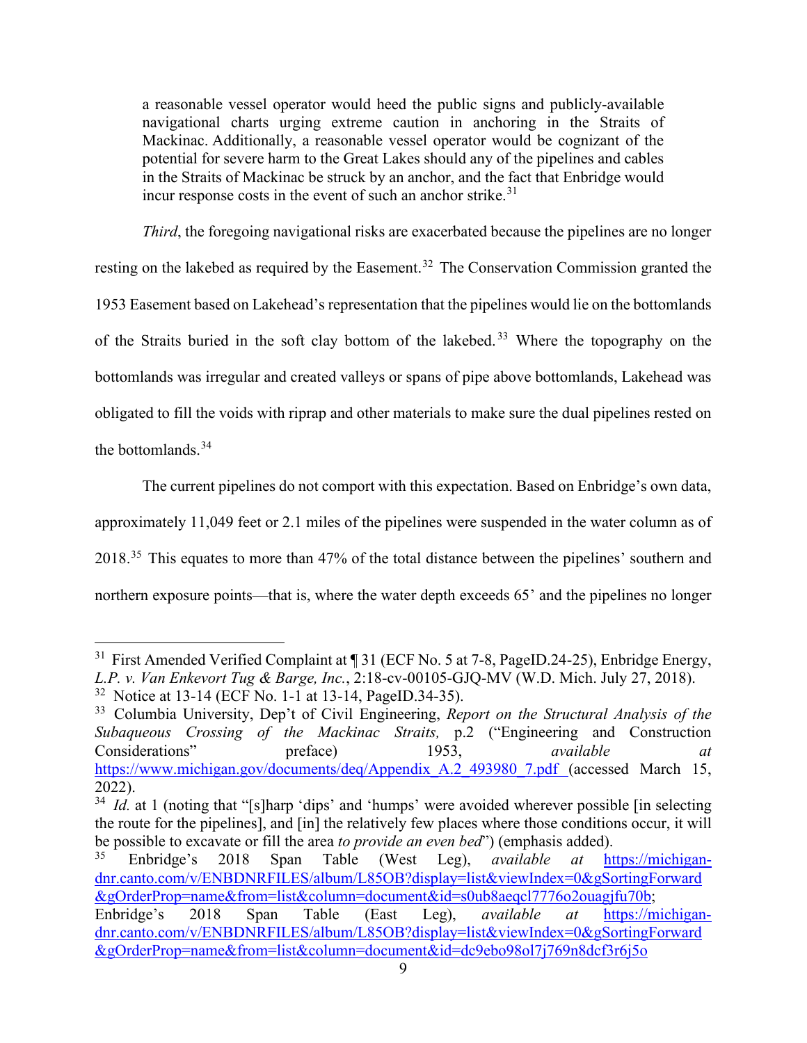a reasonable vessel operator would heed the public signs and publicly-available navigational charts urging extreme caution in anchoring in the Straits of Mackinac. Additionally, a reasonable vessel operator would be cognizant of the potential for severe harm to the Great Lakes should any of the pipelines and cables in the Straits of Mackinac be struck by an anchor, and the fact that Enbridge would incur response costs in the event of such an anchor strike. $31$ 

*Third*, the foregoing navigational risks are exacerbated because the pipelines are no longer resting on the lakebed as required by the Easement.<sup>[32](#page-11-1)</sup> The Conservation Commission granted the 1953 Easement based on Lakehead's representation that the pipelines would lie on the bottomlands of the Straits buried in the soft clay bottom of the lakebed. [33](#page-11-2) Where the topography on the bottomlands was irregular and created valleys or spans of pipe above bottomlands, Lakehead was obligated to fill the voids with riprap and other materials to make sure the dual pipelines rested on the bottomlands. [34](#page-11-3)

The current pipelines do not comport with this expectation. Based on Enbridge's own data, approximately 11,049 feet or 2.1 miles of the pipelines were suspended in the water column as of 2018.<sup>[35](#page-11-4)</sup> This equates to more than 47% of the total distance between the pipelines' southern and northern exposure points—that is, where the water depth exceeds 65' and the pipelines no longer

<span id="page-11-0"></span><sup>&</sup>lt;sup>31</sup> First Amended Verified Complaint at  $\P$  31 (ECF No. 5 at 7-8, PageID.24-25), Enbridge Energy, *L.P. v. Van Enkevort Tug & Barge, Inc.*, 2:18-cv-00105-GJQ-MV (W.D. Mich. July 27, 2018).

<span id="page-11-1"></span><sup>32</sup> Notice at 13-14 (ECF No. 1-1 at 13-14, PageID.34-35).

<span id="page-11-2"></span><sup>33</sup> Columbia University, Dep't of Civil Engineering, *Report on the Structural Analysis of the Subaqueous Crossing of the Mackinac Straits,* p.2 ("Engineering and Construction Considerations" preface) 1953, *available at*  [https://www.michigan.gov/documents/deq/Appendix\\_A.2\\_493980\\_7.pdf](https://www.michigan.gov/documents/deq/Appendix_A.2_493980_7.pdf) (accessed March 15, 2022).

<span id="page-11-3"></span><sup>&</sup>lt;sup>34</sup> *Id.* at 1 (noting that "[s]harp 'dips' and 'humps' were avoided wherever possible [in selecting] the route for the pipelines], and [in] the relatively few places where those conditions occur, it will be possible to excavate or fill the area *to provide an even bed*") (emphasis added).<br><sup>35</sup> Enbridge's 2018 Span, Table (West Leg) *gyailable at* ht

<span id="page-11-4"></span><sup>35</sup> Enbridge's 2018 Span Table (West Leg), *available at* [https://michigan](https://michigan-dnr.canto.com/v/ENBDNRFILES/album/L85OB?display=list&viewIndex=0&gSortingForward&gOrderProp=name&from=list&column=document&id=s0ub8aeqcl7776o2ouagjfu70b)[dnr.canto.com/v/ENBDNRFILES/album/L85OB?display=list&viewIndex=0&gSortingForward](https://michigan-dnr.canto.com/v/ENBDNRFILES/album/L85OB?display=list&viewIndex=0&gSortingForward&gOrderProp=name&from=list&column=document&id=s0ub8aeqcl7776o2ouagjfu70b) [&gOrderProp=name&from=list&column=document&id=s0ub8aeqcl7776o2ouagjfu70b;](https://michigan-dnr.canto.com/v/ENBDNRFILES/album/L85OB?display=list&viewIndex=0&gSortingForward&gOrderProp=name&from=list&column=document&id=s0ub8aeqcl7776o2ouagjfu70b) Enbridge's 2018 Span Table (East Leg), *available at* [https://michigan](https://michigan-dnr.canto.com/v/ENBDNRFILES/album/L85OB?display=list&viewIndex=0&gSortingForward&gOrderProp=name&from=list&column=document&id=dc9ebo98ol7j769n8dcf3r6j5o)[dnr.canto.com/v/ENBDNRFILES/album/L85OB?display=list&viewIndex=0&gSortingForward](https://michigan-dnr.canto.com/v/ENBDNRFILES/album/L85OB?display=list&viewIndex=0&gSortingForward&gOrderProp=name&from=list&column=document&id=dc9ebo98ol7j769n8dcf3r6j5o)

[<sup>&</sup>amp;gOrderProp=name&from=list&column=document&id=dc9ebo98ol7j769n8dcf3r6j5o](https://michigan-dnr.canto.com/v/ENBDNRFILES/album/L85OB?display=list&viewIndex=0&gSortingForward&gOrderProp=name&from=list&column=document&id=dc9ebo98ol7j769n8dcf3r6j5o)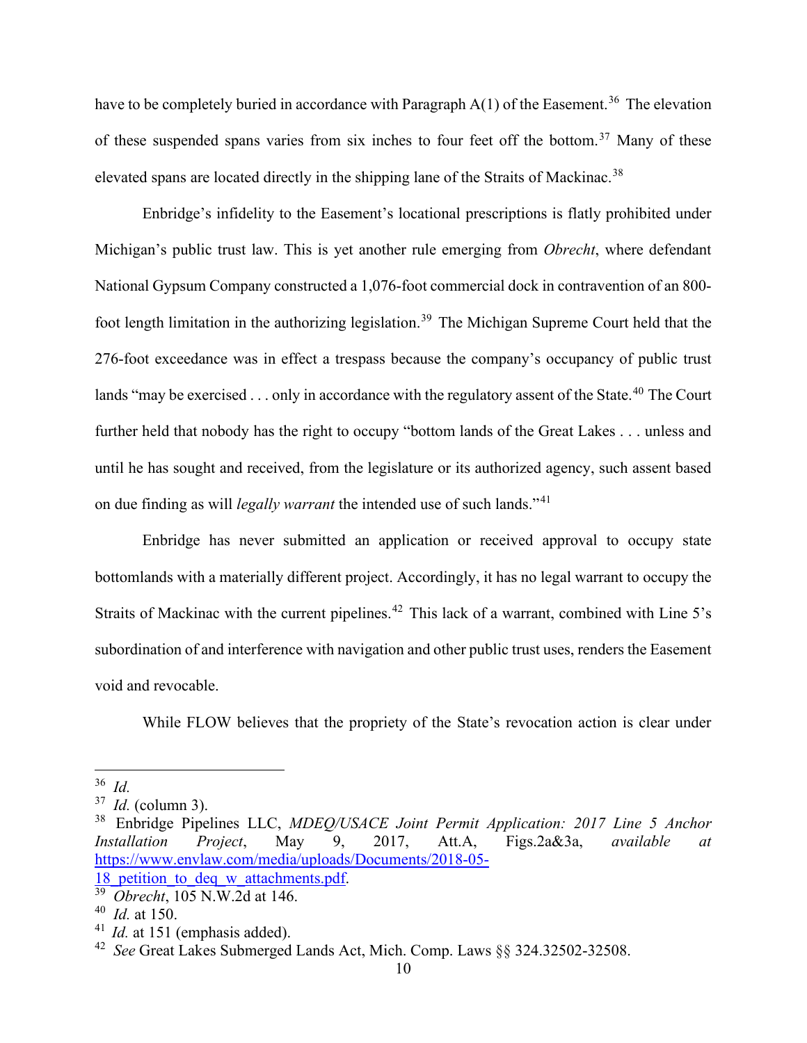have to be completely buried in accordance with Paragraph  $A(1)$  of the Easement.<sup>[36](#page-12-0)</sup> The elevation of these suspended spans varies from six inches to four feet off the bottom.<sup>[37](#page-12-1)</sup> Many of these elevated spans are located directly in the shipping lane of the Straits of Mackinac.<sup>[38](#page-12-2)</sup>

Enbridge's infidelity to the Easement's locational prescriptions is flatly prohibited under Michigan's public trust law. This is yet another rule emerging from *Obrecht*, where defendant National Gypsum Company constructed a 1,076-foot commercial dock in contravention of an 800- foot length limitation in the authorizing legislation.<sup>[39](#page-12-3)</sup> The Michigan Supreme Court held that the 276-foot exceedance was in effect a trespass because the company's occupancy of public trust lands "may be exercised  $\ldots$  only in accordance with the regulatory assent of the State.<sup>[40](#page-12-4)</sup> The Court further held that nobody has the right to occupy "bottom lands of the Great Lakes . . . unless and until he has sought and received, from the legislature or its authorized agency, such assent based on due finding as will *legally warrant* the intended use of such lands."<sup>[41](#page-12-5)</sup>

Enbridge has never submitted an application or received approval to occupy state bottomlands with a materially different project. Accordingly, it has no legal warrant to occupy the Straits of Mackinac with the current pipelines.<sup>[42](#page-12-6)</sup> This lack of a warrant, combined with Line 5's subordination of and interference with navigation and other public trust uses, renders the Easement void and revocable.

While FLOW believes that the propriety of the State's revocation action is clear under

<span id="page-12-0"></span><sup>36</sup> *Id.*

<span id="page-12-1"></span><sup>37</sup> *Id.* (column 3).

<span id="page-12-2"></span><sup>38</sup> Enbridge Pipelines LLC, *MDEQ/USACE Joint Permit Application: 2017 Line 5 Anchor Installation Project*, May 9, 2017, Att.A, Figs.2a&3a, *available at* [https://www.envlaw.com/media/uploads/Documents/2018-05-](https://www.envlaw.com/media/uploads/Documents/2018-05-18_petition_to_deq_w_attachments.pdf) 18 petition to deq w attachments.pdf.

<span id="page-12-3"></span><sup>39</sup> *Obrecht*, 105 N.W.2d at 146.

<span id="page-12-4"></span><sup>40</sup> *Id.* at 150.

<span id="page-12-5"></span><sup>&</sup>lt;sup>41</sup> *Id.* at 151 (emphasis added).

<span id="page-12-6"></span><sup>42</sup> *See* Great Lakes Submerged Lands Act, Mich. Comp. Laws §§ 324.32502-32508.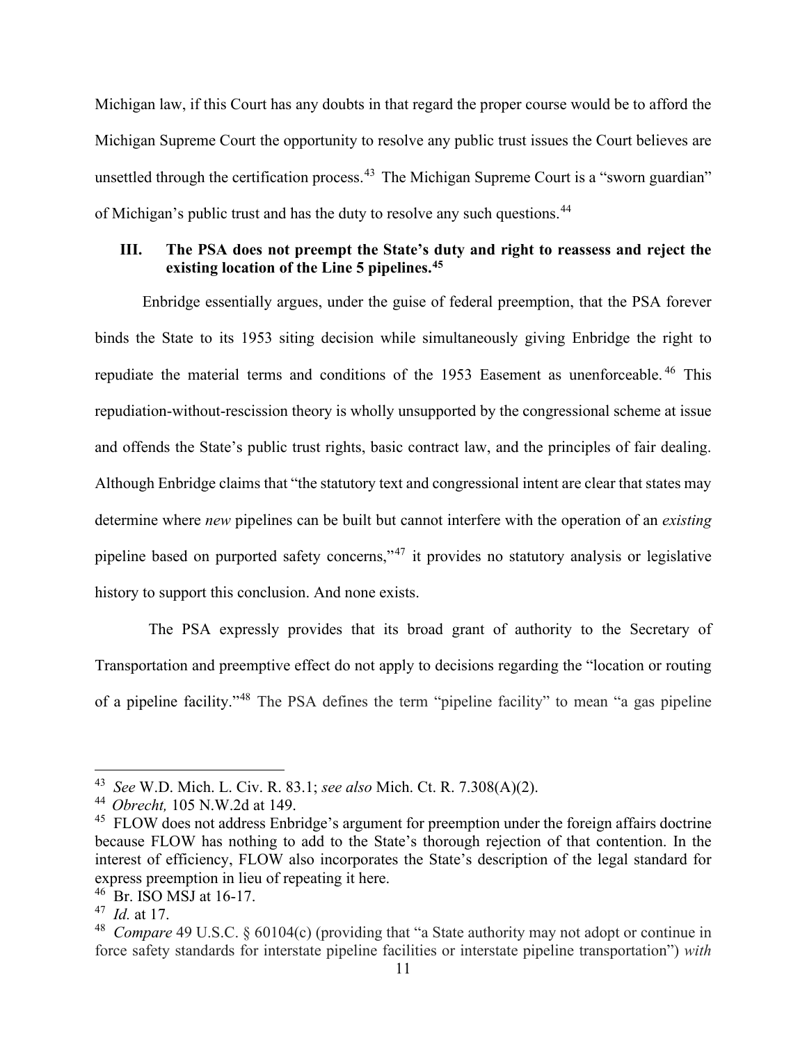Michigan law, if this Court has any doubts in that regard the proper course would be to afford the Michigan Supreme Court the opportunity to resolve any public trust issues the Court believes are unsettled through the certification process.<sup>[43](#page-13-1)</sup> The Michigan Supreme Court is a "sworn guardian" of Michigan's public trust and has the duty to resolve any such questions.[44](#page-13-2)

## <span id="page-13-0"></span>**III. The PSA does not preempt the State's duty and right to reassess and reject the existing location of the Line 5 pipelines.[45](#page-13-3)**

Enbridge essentially argues, under the guise of federal preemption, that the PSA forever binds the State to its 1953 siting decision while simultaneously giving Enbridge the right to repudiate the material terms and conditions of the 1953 Easement as unenforceable. [46](#page-13-4) This repudiation-without-rescission theory is wholly unsupported by the congressional scheme at issue and offends the State's public trust rights, basic contract law, and the principles of fair dealing. Although Enbridge claims that "the statutory text and congressional intent are clear that states may determine where *new* pipelines can be built but cannot interfere with the operation of an *existing*  pipeline based on purported safety concerns,"<sup>[47](#page-13-5)</sup> it provides no statutory analysis or legislative history to support this conclusion. And none exists.

The PSA expressly provides that its broad grant of authority to the Secretary of Transportation and preemptive effect do not apply to decisions regarding the "location or routing of a pipeline facility."[48](#page-13-6) The PSA defines the term "pipeline facility" to mean "a gas pipeline

<span id="page-13-1"></span><sup>43</sup> *See* W.D. Mich. L. Civ. R. 83.1; *see also* Mich. Ct. R. 7.308(A)(2).

<span id="page-13-2"></span><sup>44</sup> *Obrecht,* 105 N.W.2d at 149.

<span id="page-13-3"></span><sup>&</sup>lt;sup>45</sup> FLOW does not address Enbridge's argument for preemption under the foreign affairs doctrine because FLOW has nothing to add to the State's thorough rejection of that contention. In the interest of efficiency, FLOW also incorporates the State's description of the legal standard for express preemption in lieu of repeating it here.

<span id="page-13-4"></span><sup>46</sup> Br. ISO MSJ at 16-17.

<span id="page-13-5"></span><sup>47</sup> *Id.* at 17.

<span id="page-13-6"></span><sup>48</sup> *Compare* 49 U.S.C. § 60104(c) (providing that "a State authority may not adopt or continue in force safety standards for interstate pipeline facilities or interstate pipeline transportation") *with*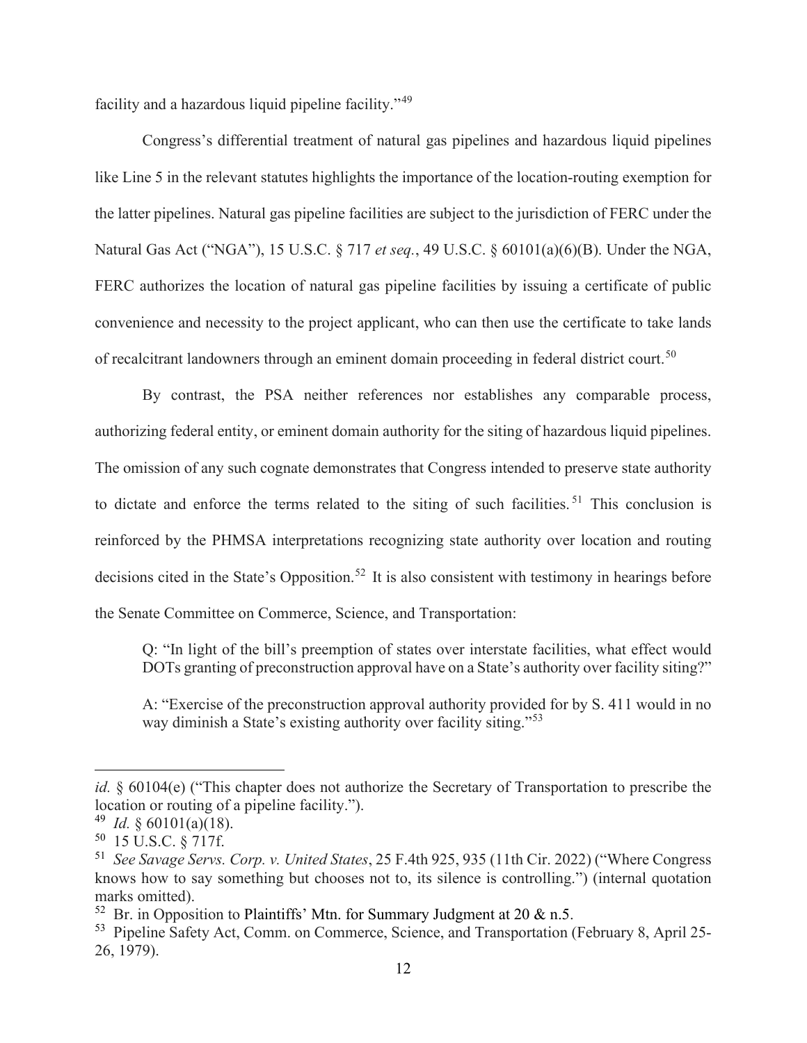facility and a hazardous liquid pipeline facility."[49](#page-14-0)

Congress's differential treatment of natural gas pipelines and hazardous liquid pipelines like Line 5 in the relevant statutes highlights the importance of the location-routing exemption for the latter pipelines. Natural gas pipeline facilities are subject to the jurisdiction of FERC under the Natural Gas Act ("NGA"), 15 U.S.C. § 717 *et seq.*, 49 U.S.C. § 60101(a)(6)(B). Under the NGA, FERC authorizes the location of natural gas pipeline facilities by issuing a certificate of public convenience and necessity to the project applicant, who can then use the certificate to take lands of recalcitrant landowners through an eminent domain proceeding in federal district court.<sup>[50](#page-14-1)</sup>

By contrast, the PSA neither references nor establishes any comparable process, authorizing federal entity, or eminent domain authority for the siting of hazardous liquid pipelines. The omission of any such cognate demonstrates that Congress intended to preserve state authority to dictate and enforce the terms related to the siting of such facilities.<sup>[51](#page-14-2)</sup> This conclusion is reinforced by the PHMSA interpretations recognizing state authority over location and routing decisions cited in the State's Opposition.<sup>[52](#page-14-3)</sup> It is also consistent with testimony in hearings before the Senate Committee on Commerce, Science, and Transportation:

Q: "In light of the bill's preemption of states over interstate facilities, what effect would DOTs granting of preconstruction approval have on a State's authority over facility siting?"

A: "Exercise of the preconstruction approval authority provided for by S. 411 would in no way diminish a State's existing authority over facility siting."<sup>[53](#page-14-4)</sup>

*id.* § 60104(e) ("This chapter does not authorize the Secretary of Transportation to prescribe the location or routing of a pipeline facility.").

<span id="page-14-0"></span> $^{49}$  *Id.* § 60101(a)(18).

<span id="page-14-1"></span> $50$  15 U.S.C.  $\frac{2}{17}$ 

<span id="page-14-2"></span><sup>51</sup> *See Savage Servs. Corp. v. United States*, 25 F.4th 925, 935 (11th Cir. 2022) ("Where Congress knows how to say something but chooses not to, its silence is controlling.") (internal quotation marks omitted).

<span id="page-14-3"></span><sup>&</sup>lt;sup>52</sup> Br. in Opposition to Plaintiffs' Mtn. for Summary Judgment at 20  $\&$  n.5.

<span id="page-14-4"></span><sup>53</sup> Pipeline Safety Act, Comm. on Commerce, Science, and Transportation (February 8, April 25- 26, 1979).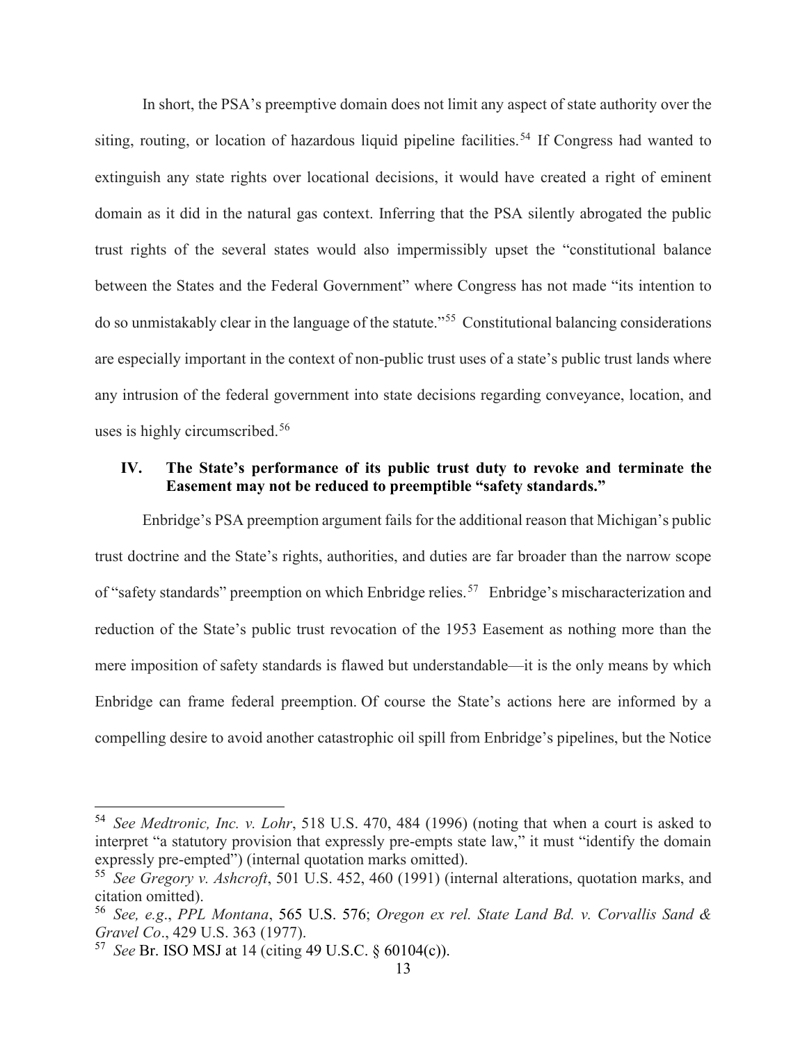In short, the PSA's preemptive domain does not limit any aspect of state authority over the siting, routing, or location of hazardous liquid pipeline facilities.<sup>[54](#page-15-1)</sup> If Congress had wanted to extinguish any state rights over locational decisions, it would have created a right of eminent domain as it did in the natural gas context. Inferring that the PSA silently abrogated the public trust rights of the several states would also impermissibly upset the "constitutional balance between the States and the Federal Government" where Congress has not made "its intention to do so unmistakably clear in the language of the statute."[55](#page-15-2) Constitutional balancing considerations are especially important in the context of non-public trust uses of a state's public trust lands where any intrusion of the federal government into state decisions regarding conveyance, location, and uses is highly circumscribed.[56](#page-15-3)

## <span id="page-15-0"></span>**IV. The State's performance of its public trust duty to revoke and terminate the Easement may not be reduced to preemptible "safety standards."**

Enbridge's PSA preemption argument fails for the additional reason that Michigan's public trust doctrine and the State's rights, authorities, and duties are far broader than the narrow scope of "safety standards" preemption on which Enbridge relies.<sup>[57](#page-15-4)</sup> Enbridge's mischaracterization and reduction of the State's public trust revocation of the 1953 Easement as nothing more than the mere imposition of safety standards is flawed but understandable—it is the only means by which Enbridge can frame federal preemption. Of course the State's actions here are informed by a compelling desire to avoid another catastrophic oil spill from Enbridge's pipelines, but the Notice

<span id="page-15-1"></span><sup>54</sup> *See Medtronic, Inc. v. Lohr*, 518 U.S. 470, 484 (1996) (noting that when a court is asked to interpret "a statutory provision that expressly pre-empts state law," it must "identify the domain expressly pre-empted") (internal quotation marks omitted).

<span id="page-15-2"></span><sup>55</sup> *See Gregory v. Ashcroft*, 501 U.S. 452, 460 (1991) (internal alterations, quotation marks, and citation omitted).

<span id="page-15-3"></span><sup>56</sup> *See, e.g*., *PPL Montana*, 565 U.S. 576; *Oregon ex rel. State Land Bd. v. Corvallis Sand & Gravel Co*., 429 U.S. 363 (1977).

<span id="page-15-4"></span><sup>57</sup> *See* Br. ISO MSJ at 14 (citing 49 U.S.C. § 60104(c)).